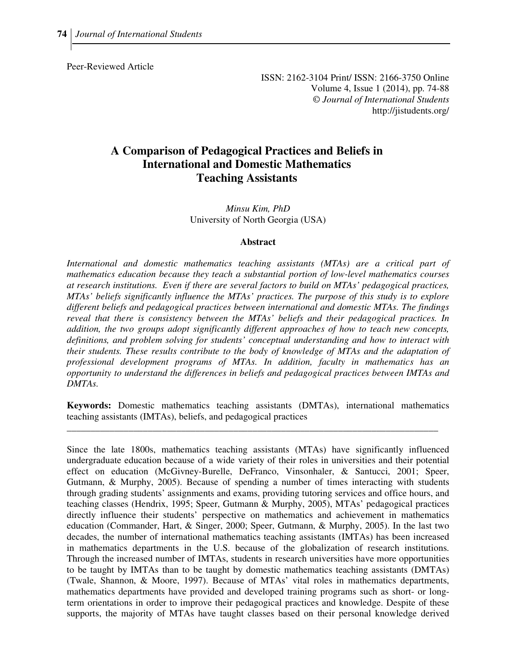Peer-Reviewed Article

ISSN: 2162-3104 Print/ ISSN: 2166-3750 Online Volume 4, Issue 1 (2014), pp. 74-88 © *Journal of International Students* http://jistudents.org/

# **A Comparison of Pedagogical Practices and Beliefs in International and Domestic Mathematics Teaching Assistants**

*Minsu Kim, PhD*  University of North Georgia (USA)

#### **Abstract**

*International and domestic mathematics teaching assistants (MTAs) are a critical part of mathematics education because they teach a substantial portion of low-level mathematics courses at research institutions. Even if there are several factors to build on MTAs' pedagogical practices, MTAs' beliefs significantly influence the MTAs' practices. The purpose of this study is to explore different beliefs and pedagogical practices between international and domestic MTAs. The findings reveal that there is consistency between the MTAs' beliefs and their pedagogical practices. In addition, the two groups adopt significantly different approaches of how to teach new concepts, definitions, and problem solving for students' conceptual understanding and how to interact with their students. These results contribute to the body of knowledge of MTAs and the adaptation of professional development programs of MTAs. In addition, faculty in mathematics has an opportunity to understand the differences in beliefs and pedagogical practices between IMTAs and DMTAs.* 

**Keywords:** Domestic mathematics teaching assistants (DMTAs), international mathematics teaching assistants (IMTAs), beliefs, and pedagogical practices

\_\_\_\_\_\_\_\_\_\_\_\_\_\_\_\_\_\_\_\_\_\_\_\_\_\_\_\_\_\_\_\_\_\_\_\_\_\_\_\_\_\_\_\_\_\_\_\_\_\_\_\_\_\_\_\_\_\_\_\_\_\_\_\_\_\_\_\_\_\_\_\_\_\_\_\_\_\_

Since the late 1800s, mathematics teaching assistants (MTAs) have significantly influenced undergraduate education because of a wide variety of their roles in universities and their potential effect on education (McGivney-Burelle, DeFranco, Vinsonhaler, & Santucci, 2001; Speer, Gutmann, & Murphy, 2005). Because of spending a number of times interacting with students through grading students' assignments and exams, providing tutoring services and office hours, and teaching classes (Hendrix, 1995; Speer, Gutmann & Murphy, 2005), MTAs' pedagogical practices directly influence their students' perspective on mathematics and achievement in mathematics education (Commander, Hart, & Singer, 2000; Speer, Gutmann, & Murphy, 2005). In the last two decades, the number of international mathematics teaching assistants (IMTAs) has been increased in mathematics departments in the U.S. because of the globalization of research institutions. Through the increased number of IMTAs, students in research universities have more opportunities to be taught by IMTAs than to be taught by domestic mathematics teaching assistants (DMTAs) (Twale, Shannon, & Moore, 1997). Because of MTAs' vital roles in mathematics departments, mathematics departments have provided and developed training programs such as short- or longterm orientations in order to improve their pedagogical practices and knowledge. Despite of these supports, the majority of MTAs have taught classes based on their personal knowledge derived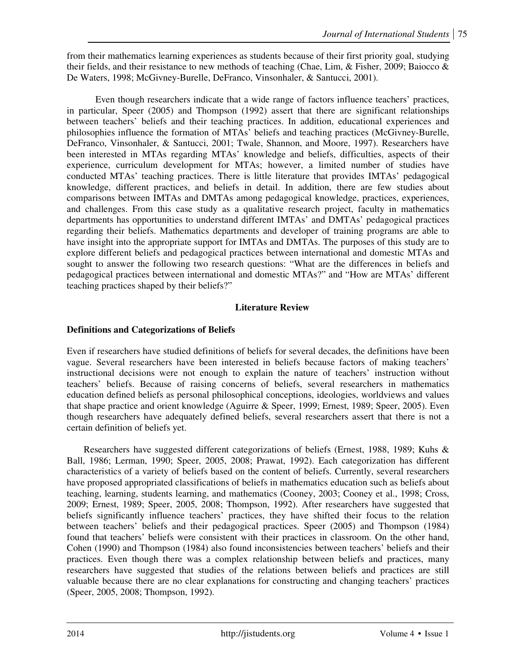from their mathematics learning experiences as students because of their first priority goal, studying their fields, and their resistance to new methods of teaching (Chae, Lim, & Fisher, 2009; Baiocco & De Waters, 1998; McGivney-Burelle, DeFranco, Vinsonhaler, & Santucci, 2001).

Even though researchers indicate that a wide range of factors influence teachers' practices, in particular, Speer (2005) and Thompson (1992) assert that there are significant relationships between teachers' beliefs and their teaching practices. In addition, educational experiences and philosophies influence the formation of MTAs' beliefs and teaching practices (McGivney-Burelle, DeFranco, Vinsonhaler, & Santucci, 2001; Twale, Shannon, and Moore, 1997). Researchers have been interested in MTAs regarding MTAs' knowledge and beliefs, difficulties, aspects of their experience, curriculum development for MTAs; however, a limited number of studies have conducted MTAs' teaching practices. There is little literature that provides IMTAs' pedagogical knowledge, different practices, and beliefs in detail. In addition, there are few studies about comparisons between IMTAs and DMTAs among pedagogical knowledge, practices, experiences, and challenges. From this case study as a qualitative research project, faculty in mathematics departments has opportunities to understand different IMTAs' and DMTAs' pedagogical practices regarding their beliefs. Mathematics departments and developer of training programs are able to have insight into the appropriate support for IMTAs and DMTAs. The purposes of this study are to explore different beliefs and pedagogical practices between international and domestic MTAs and sought to answer the following two research questions: "What are the differences in beliefs and pedagogical practices between international and domestic MTAs?" and "How are MTAs' different teaching practices shaped by their beliefs?"

# **Literature Review**

# **Definitions and Categorizations of Beliefs**

Even if researchers have studied definitions of beliefs for several decades, the definitions have been vague. Several researchers have been interested in beliefs because factors of making teachers' instructional decisions were not enough to explain the nature of teachers' instruction without teachers' beliefs. Because of raising concerns of beliefs, several researchers in mathematics education defined beliefs as personal philosophical conceptions, ideologies, worldviews and values that shape practice and orient knowledge (Aguirre & Speer, 1999; Ernest, 1989; Speer, 2005). Even though researchers have adequately defined beliefs, several researchers assert that there is not a certain definition of beliefs yet.

Researchers have suggested different categorizations of beliefs (Ernest, 1988, 1989; Kuhs & Ball, 1986; Lerman, 1990; Speer, 2005, 2008; Prawat, 1992). Each categorization has different characteristics of a variety of beliefs based on the content of beliefs. Currently, several researchers have proposed appropriated classifications of beliefs in mathematics education such as beliefs about teaching, learning, students learning, and mathematics (Cooney, 2003; Cooney et al., 1998; Cross, 2009; Ernest, 1989; Speer, 2005, 2008; Thompson, 1992). After researchers have suggested that beliefs significantly influence teachers' practices, they have shifted their focus to the relation between teachers' beliefs and their pedagogical practices. Speer (2005) and Thompson (1984) found that teachers' beliefs were consistent with their practices in classroom. On the other hand, Cohen (1990) and Thompson (1984) also found inconsistencies between teachers' beliefs and their practices. Even though there was a complex relationship between beliefs and practices, many researchers have suggested that studies of the relations between beliefs and practices are still valuable because there are no clear explanations for constructing and changing teachers' practices (Speer, 2005, 2008; Thompson, 1992).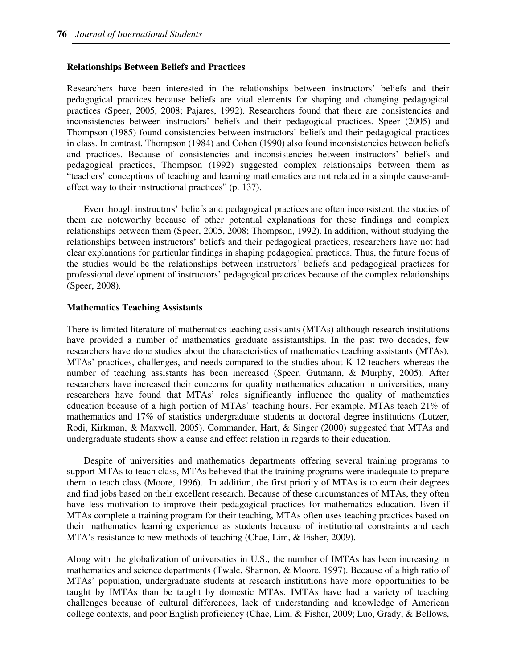#### **Relationships Between Beliefs and Practices**

Researchers have been interested in the relationships between instructors' beliefs and their pedagogical practices because beliefs are vital elements for shaping and changing pedagogical practices (Speer, 2005, 2008; Pajares, 1992). Researchers found that there are consistencies and inconsistencies between instructors' beliefs and their pedagogical practices. Speer (2005) and Thompson (1985) found consistencies between instructors' beliefs and their pedagogical practices in class. In contrast, Thompson (1984) and Cohen (1990) also found inconsistencies between beliefs and practices. Because of consistencies and inconsistencies between instructors' beliefs and pedagogical practices, Thompson (1992) suggested complex relationships between them as "teachers' conceptions of teaching and learning mathematics are not related in a simple cause-andeffect way to their instructional practices" (p. 137).

Even though instructors' beliefs and pedagogical practices are often inconsistent, the studies of them are noteworthy because of other potential explanations for these findings and complex relationships between them (Speer, 2005, 2008; Thompson, 1992). In addition, without studying the relationships between instructors' beliefs and their pedagogical practices, researchers have not had clear explanations for particular findings in shaping pedagogical practices. Thus, the future focus of the studies would be the relationships between instructors' beliefs and pedagogical practices for professional development of instructors' pedagogical practices because of the complex relationships (Speer, 2008).

#### **Mathematics Teaching Assistants**

There is limited literature of mathematics teaching assistants (MTAs) although research institutions have provided a number of mathematics graduate assistantships. In the past two decades, few researchers have done studies about the characteristics of mathematics teaching assistants (MTAs), MTAs' practices, challenges, and needs compared to the studies about K-12 teachers whereas the number of teaching assistants has been increased (Speer, Gutmann, & Murphy, 2005). After researchers have increased their concerns for quality mathematics education in universities, many researchers have found that MTAs' roles significantly influence the quality of mathematics education because of a high portion of MTAs' teaching hours. For example, MTAs teach 21% of mathematics and 17% of statistics undergraduate students at doctoral degree institutions (Lutzer, Rodi, Kirkman, & Maxwell, 2005). Commander, Hart, & Singer (2000) suggested that MTAs and undergraduate students show a cause and effect relation in regards to their education.

Despite of universities and mathematics departments offering several training programs to support MTAs to teach class, MTAs believed that the training programs were inadequate to prepare them to teach class (Moore, 1996). In addition, the first priority of MTAs is to earn their degrees and find jobs based on their excellent research. Because of these circumstances of MTAs, they often have less motivation to improve their pedagogical practices for mathematics education. Even if MTAs complete a training program for their teaching, MTAs often uses teaching practices based on their mathematics learning experience as students because of institutional constraints and each MTA's resistance to new methods of teaching (Chae, Lim, & Fisher, 2009).

Along with the globalization of universities in U.S., the number of IMTAs has been increasing in mathematics and science departments (Twale, Shannon, & Moore, 1997). Because of a high ratio of MTAs' population, undergraduate students at research institutions have more opportunities to be taught by IMTAs than be taught by domestic MTAs. IMTAs have had a variety of teaching challenges because of cultural differences, lack of understanding and knowledge of American college contexts, and poor English proficiency (Chae, Lim, & Fisher, 2009; Luo, Grady, & Bellows,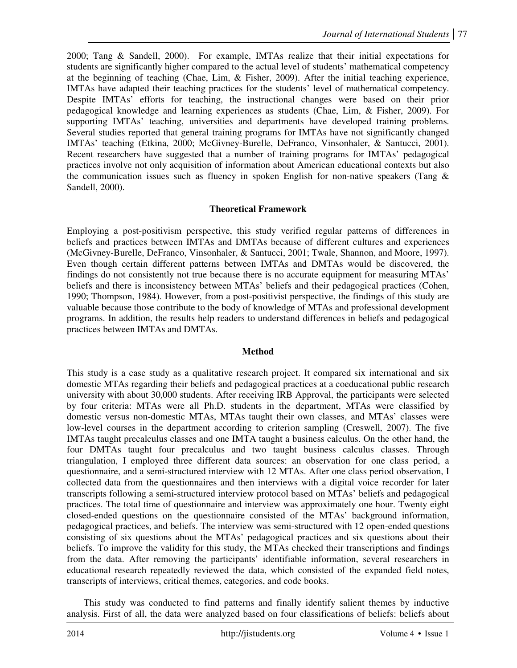2000; Tang & Sandell, 2000). For example, IMTAs realize that their initial expectations for students are significantly higher compared to the actual level of students' mathematical competency at the beginning of teaching (Chae, Lim, & Fisher, 2009). After the initial teaching experience, IMTAs have adapted their teaching practices for the students' level of mathematical competency. Despite IMTAs' efforts for teaching, the instructional changes were based on their prior pedagogical knowledge and learning experiences as students (Chae, Lim, & Fisher, 2009). For supporting IMTAs' teaching, universities and departments have developed training problems. Several studies reported that general training programs for IMTAs have not significantly changed IMTAs' teaching (Etkina, 2000; McGivney-Burelle, DeFranco, Vinsonhaler, & Santucci, 2001). Recent researchers have suggested that a number of training programs for IMTAs' pedagogical practices involve not only acquisition of information about American educational contexts but also the communication issues such as fluency in spoken English for non-native speakers (Tang  $\&$ Sandell, 2000).

# **Theoretical Framework**

Employing a post-positivism perspective, this study verified regular patterns of differences in beliefs and practices between IMTAs and DMTAs because of different cultures and experiences (McGivney-Burelle, DeFranco, Vinsonhaler, & Santucci, 2001; Twale, Shannon, and Moore, 1997). Even though certain different patterns between IMTAs and DMTAs would be discovered, the findings do not consistently not true because there is no accurate equipment for measuring MTAs' beliefs and there is inconsistency between MTAs' beliefs and their pedagogical practices (Cohen, 1990; Thompson, 1984). However, from a post-positivist perspective, the findings of this study are valuable because those contribute to the body of knowledge of MTAs and professional development programs. In addition, the results help readers to understand differences in beliefs and pedagogical practices between IMTAs and DMTAs.

### **Method**

This study is a case study as a qualitative research project. It compared six international and six domestic MTAs regarding their beliefs and pedagogical practices at a coeducational public research university with about 30,000 students. After receiving IRB Approval, the participants were selected by four criteria: MTAs were all Ph.D. students in the department, MTAs were classified by domestic versus non-domestic MTAs, MTAs taught their own classes, and MTAs' classes were low-level courses in the department according to criterion sampling (Creswell, 2007). The five IMTAs taught precalculus classes and one IMTA taught a business calculus. On the other hand, the four DMTAs taught four precalculus and two taught business calculus classes. Through triangulation, I employed three different data sources: an observation for one class period, a questionnaire, and a semi-structured interview with 12 MTAs. After one class period observation, I collected data from the questionnaires and then interviews with a digital voice recorder for later transcripts following a semi-structured interview protocol based on MTAs' beliefs and pedagogical practices. The total time of questionnaire and interview was approximately one hour. Twenty eight closed-ended questions on the questionnaire consisted of the MTAs' background information, pedagogical practices, and beliefs. The interview was semi-structured with 12 open-ended questions consisting of six questions about the MTAs' pedagogical practices and six questions about their beliefs. To improve the validity for this study, the MTAs checked their transcriptions and findings from the data. After removing the participants' identifiable information, several researchers in educational research repeatedly reviewed the data, which consisted of the expanded field notes, transcripts of interviews, critical themes, categories, and code books.

This study was conducted to find patterns and finally identify salient themes by inductive analysis. First of all, the data were analyzed based on four classifications of beliefs: beliefs about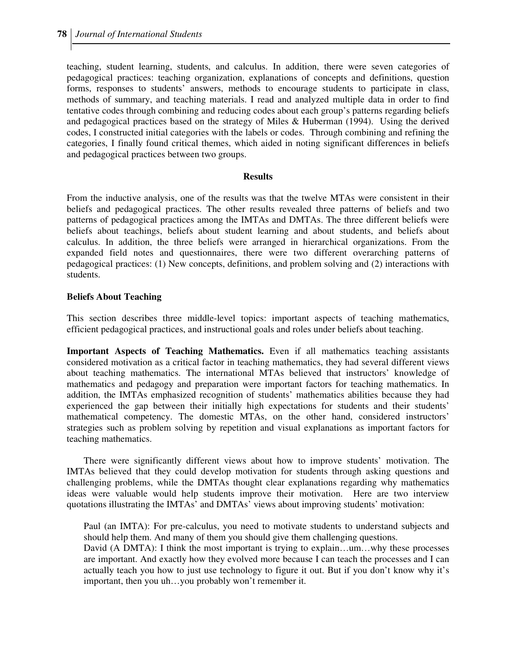teaching, student learning, students, and calculus. In addition, there were seven categories of pedagogical practices: teaching organization, explanations of concepts and definitions, question forms, responses to students' answers, methods to encourage students to participate in class, methods of summary, and teaching materials. I read and analyzed multiple data in order to find tentative codes through combining and reducing codes about each group's patterns regarding beliefs and pedagogical practices based on the strategy of Miles & Huberman (1994). Using the derived codes, I constructed initial categories with the labels or codes. Through combining and refining the categories, I finally found critical themes, which aided in noting significant differences in beliefs and pedagogical practices between two groups.

#### **Results**

From the inductive analysis, one of the results was that the twelve MTAs were consistent in their beliefs and pedagogical practices. The other results revealed three patterns of beliefs and two patterns of pedagogical practices among the IMTAs and DMTAs. The three different beliefs were beliefs about teachings, beliefs about student learning and about students, and beliefs about calculus. In addition, the three beliefs were arranged in hierarchical organizations. From the expanded field notes and questionnaires, there were two different overarching patterns of pedagogical practices: (1) New concepts, definitions, and problem solving and (2) interactions with students.

### **Beliefs About Teaching**

This section describes three middle-level topics: important aspects of teaching mathematics, efficient pedagogical practices, and instructional goals and roles under beliefs about teaching.

**Important Aspects of Teaching Mathematics.** Even if all mathematics teaching assistants considered motivation as a critical factor in teaching mathematics, they had several different views about teaching mathematics. The international MTAs believed that instructors' knowledge of mathematics and pedagogy and preparation were important factors for teaching mathematics. In addition, the IMTAs emphasized recognition of students' mathematics abilities because they had experienced the gap between their initially high expectations for students and their students' mathematical competency. The domestic MTAs, on the other hand, considered instructors' strategies such as problem solving by repetition and visual explanations as important factors for teaching mathematics.

There were significantly different views about how to improve students' motivation. The IMTAs believed that they could develop motivation for students through asking questions and challenging problems, while the DMTAs thought clear explanations regarding why mathematics ideas were valuable would help students improve their motivation. Here are two interview quotations illustrating the IMTAs' and DMTAs' views about improving students' motivation:

Paul (an IMTA): For pre-calculus, you need to motivate students to understand subjects and should help them. And many of them you should give them challenging questions.

David (A DMTA): I think the most important is trying to explain...um...why these processes are important. And exactly how they evolved more because I can teach the processes and I can actually teach you how to just use technology to figure it out. But if you don't know why it's important, then you uh…you probably won't remember it.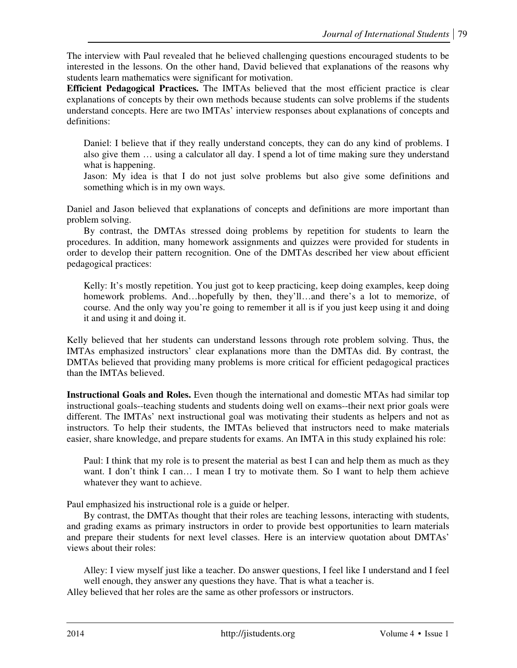The interview with Paul revealed that he believed challenging questions encouraged students to be interested in the lessons. On the other hand, David believed that explanations of the reasons why students learn mathematics were significant for motivation.

**Efficient Pedagogical Practices.** The IMTAs believed that the most efficient practice is clear explanations of concepts by their own methods because students can solve problems if the students understand concepts. Here are two IMTAs' interview responses about explanations of concepts and definitions:

Daniel: I believe that if they really understand concepts, they can do any kind of problems. I also give them … using a calculator all day. I spend a lot of time making sure they understand what is happening.

Jason: My idea is that I do not just solve problems but also give some definitions and something which is in my own ways.

Daniel and Jason believed that explanations of concepts and definitions are more important than problem solving.

By contrast, the DMTAs stressed doing problems by repetition for students to learn the procedures. In addition, many homework assignments and quizzes were provided for students in order to develop their pattern recognition. One of the DMTAs described her view about efficient pedagogical practices:

Kelly: It's mostly repetition. You just got to keep practicing, keep doing examples, keep doing homework problems. And…hopefully by then, they'll…and there's a lot to memorize, of course. And the only way you're going to remember it all is if you just keep using it and doing it and using it and doing it.

Kelly believed that her students can understand lessons through rote problem solving. Thus, the IMTAs emphasized instructors' clear explanations more than the DMTAs did. By contrast, the DMTAs believed that providing many problems is more critical for efficient pedagogical practices than the IMTAs believed.

**Instructional Goals and Roles.** Even though the international and domestic MTAs had similar top instructional goals--teaching students and students doing well on exams--their next prior goals were different. The IMTAs' next instructional goal was motivating their students as helpers and not as instructors. To help their students, the IMTAs believed that instructors need to make materials easier, share knowledge, and prepare students for exams. An IMTA in this study explained his role:

Paul: I think that my role is to present the material as best I can and help them as much as they want. I don't think I can... I mean I try to motivate them. So I want to help them achieve whatever they want to achieve.

Paul emphasized his instructional role is a guide or helper.

By contrast, the DMTAs thought that their roles are teaching lessons, interacting with students, and grading exams as primary instructors in order to provide best opportunities to learn materials and prepare their students for next level classes. Here is an interview quotation about DMTAs' views about their roles:

Alley: I view myself just like a teacher. Do answer questions, I feel like I understand and I feel well enough, they answer any questions they have. That is what a teacher is.

Alley believed that her roles are the same as other professors or instructors.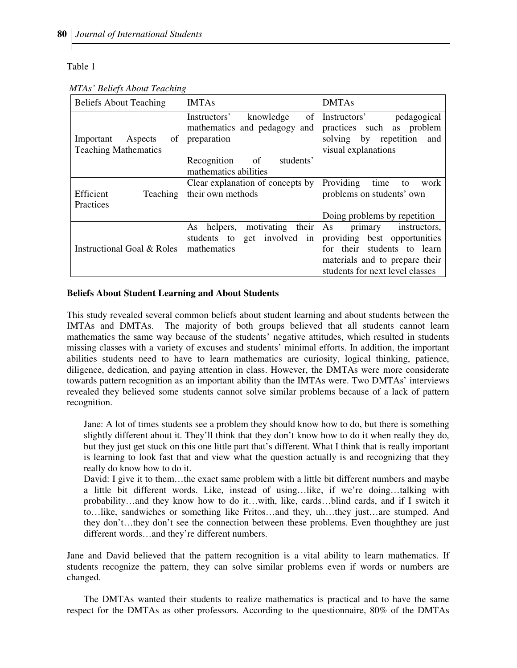Table 1

| <b>Beliefs About Teaching</b>                             | <b>IMTAs</b>                                                                   | <b>DMTAs</b>                                                                                                                        |
|-----------------------------------------------------------|--------------------------------------------------------------------------------|-------------------------------------------------------------------------------------------------------------------------------------|
| of<br>Important<br>Aspects<br><b>Teaching Mathematics</b> | of<br>Instructors'<br>knowledge<br>mathematics and pedagogy and<br>preparation | Instructors'<br>pedagogical<br>practices such<br>as problem<br>solving by repetition and<br>visual explanations                     |
|                                                           | students'<br>Recognition<br>of<br>mathematics abilities                        |                                                                                                                                     |
| Efficient<br><b>Teaching</b><br>Practices                 | Clear explanation of concepts by<br>their own methods                          | Providing<br>time<br>to<br>work<br>problems on students' own                                                                        |
|                                                           | motivating<br>their<br>helpers,<br>As                                          | Doing problems by repetition<br>As<br>instructors,<br>primary                                                                       |
| Instructional Goal & Roles                                | get involved in<br>students to<br>mathematics                                  | providing best opportunities<br>their students to learn<br>for<br>materials and to prepare their<br>students for next level classes |

 *MTAs' Beliefs About Teaching*

### **Beliefs About Student Learning and About Students**

This study revealed several common beliefs about student learning and about students between the IMTAs and DMTAs. The majority of both groups believed that all students cannot learn mathematics the same way because of the students' negative attitudes, which resulted in students missing classes with a variety of excuses and students' minimal efforts. In addition, the important abilities students need to have to learn mathematics are curiosity, logical thinking, patience, diligence, dedication, and paying attention in class. However, the DMTAs were more considerate towards pattern recognition as an important ability than the IMTAs were. Two DMTAs' interviews revealed they believed some students cannot solve similar problems because of a lack of pattern recognition.

Jane: A lot of times students see a problem they should know how to do, but there is something slightly different about it. They'll think that they don't know how to do it when really they do, but they just get stuck on this one little part that's different. What I think that is really important is learning to look fast that and view what the question actually is and recognizing that they really do know how to do it.

David: I give it to them…the exact same problem with a little bit different numbers and maybe a little bit different words. Like, instead of using…like, if we're doing…talking with probability…and they know how to do it…with, like, cards…blind cards, and if I switch it to…like, sandwiches or something like Fritos…and they, uh…they just…are stumped. And they don't…they don't see the connection between these problems. Even thoughthey are just different words…and they're different numbers.

Jane and David believed that the pattern recognition is a vital ability to learn mathematics. If students recognize the pattern, they can solve similar problems even if words or numbers are changed.

The DMTAs wanted their students to realize mathematics is practical and to have the same respect for the DMTAs as other professors. According to the questionnaire, 80% of the DMTAs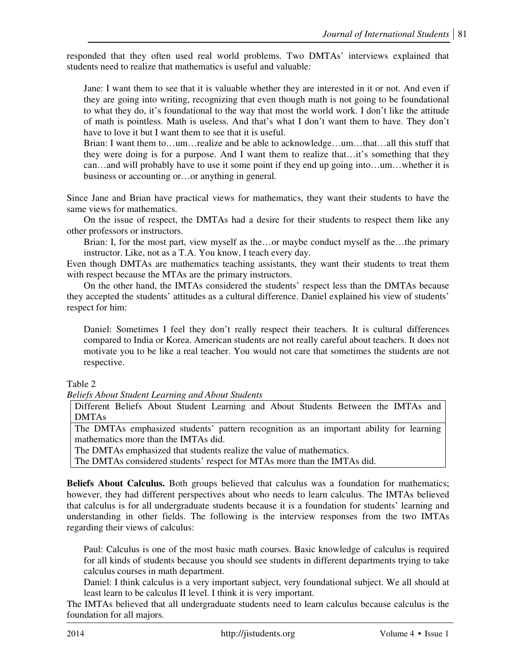responded that they often used real world problems. Two DMTAs' interviews explained that students need to realize that mathematics is useful and valuable:

Jane: I want them to see that it is valuable whether they are interested in it or not. And even if they are going into writing, recognizing that even though math is not going to be foundational to what they do, it's foundational to the way that most the world work. I don't like the attitude of math is pointless. Math is useless. And that's what I don't want them to have. They don't have to love it but I want them to see that it is useful.

Brian: I want them to…um…realize and be able to acknowledge…um…that…all this stuff that they were doing is for a purpose. And I want them to realize that…it's something that they can…and will probably have to use it some point if they end up going into…um…whether it is business or accounting or…or anything in general.

Since Jane and Brian have practical views for mathematics, they want their students to have the same views for mathematics.

On the issue of respect, the DMTAs had a desire for their students to respect them like any other professors or instructors.

Brian: I, for the most part, view myself as the…or maybe conduct myself as the…the primary instructor. Like, not as a T.A. You know, I teach every day.

Even though DMTAs are mathematics teaching assistants, they want their students to treat them with respect because the MTAs are the primary instructors.

On the other hand, the IMTAs considered the students' respect less than the DMTAs because they accepted the students' attitudes as a cultural difference. Daniel explained his view of students' respect for him:

Daniel: Sometimes I feel they don't really respect their teachers. It is cultural differences compared to India or Korea. American students are not really careful about teachers. It does not motivate you to be like a real teacher. You would not care that sometimes the students are not respective.

Table 2

*Beliefs About Student Learning and About Students* 

Different Beliefs About Student Learning and About Students Between the IMTAs and DMTAs

The DMTAs emphasized students' pattern recognition as an important ability for learning mathematics more than the IMTAs did.

The DMTAs emphasized that students realize the value of mathematics.

The DMTAs considered students' respect for MTAs more than the IMTAs did.

**Beliefs About Calculus.** Both groups believed that calculus was a foundation for mathematics; however, they had different perspectives about who needs to learn calculus. The IMTAs believed that calculus is for all undergraduate students because it is a foundation for students' learning and understanding in other fields. The following is the interview responses from the two IMTAs regarding their views of calculus:

Paul: Calculus is one of the most basic math courses. Basic knowledge of calculus is required for all kinds of students because you should see students in different departments trying to take calculus courses in math department.

Daniel: I think calculus is a very important subject, very foundational subject. We all should at least learn to be calculus II level. I think it is very important.

The IMTAs believed that all undergraduate students need to learn calculus because calculus is the foundation for all majors.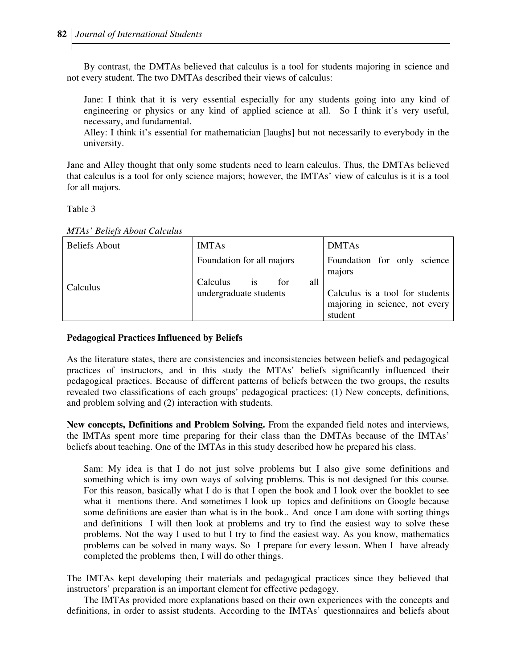By contrast, the DMTAs believed that calculus is a tool for students majoring in science and not every student. The two DMTAs described their views of calculus:

Jane: I think that it is very essential especially for any students going into any kind of engineering or physics or any kind of applied science at all. So I think it's very useful, necessary, and fundamental.

Alley: I think it's essential for mathematician [laughs] but not necessarily to everybody in the university.

Jane and Alley thought that only some students need to learn calculus. Thus, the DMTAs believed that calculus is a tool for only science majors; however, the IMTAs' view of calculus is it is a tool for all majors.

Table 3

| <b>Beliefs About</b> | <b>IMTAs</b>                                                                               | <b>DMTAs</b>                                                                                                  |
|----------------------|--------------------------------------------------------------------------------------------|---------------------------------------------------------------------------------------------------------------|
| Calculus             | Foundation for all majors<br>all<br>Calculus<br>for<br><b>1S</b><br>undergraduate students | Foundation for only<br>science<br>majors<br>Calculus is a tool for students<br>majoring in science, not every |
|                      |                                                                                            | student                                                                                                       |

### **Pedagogical Practices Influenced by Beliefs**

As the literature states, there are consistencies and inconsistencies between beliefs and pedagogical practices of instructors, and in this study the MTAs' beliefs significantly influenced their pedagogical practices. Because of different patterns of beliefs between the two groups, the results revealed two classifications of each groups' pedagogical practices: (1) New concepts, definitions, and problem solving and (2) interaction with students.

**New concepts, Definitions and Problem Solving.** From the expanded field notes and interviews, the IMTAs spent more time preparing for their class than the DMTAs because of the IMTAs' beliefs about teaching. One of the IMTAs in this study described how he prepared his class.

Sam: My idea is that I do not just solve problems but I also give some definitions and something which is imy own ways of solving problems. This is not designed for this course. For this reason, basically what I do is that I open the book and I look over the booklet to see what it mentions there. And sometimes I look up topics and definitions on Google because some definitions are easier than what is in the book.. And once I am done with sorting things and definitions I will then look at problems and try to find the easiest way to solve these problems. Not the way I used to but I try to find the easiest way. As you know, mathematics problems can be solved in many ways. So I prepare for every lesson. When I have already completed the problems then, I will do other things.

The IMTAs kept developing their materials and pedagogical practices since they believed that instructors' preparation is an important element for effective pedagogy.

 The IMTAs provided more explanations based on their own experiences with the concepts and definitions, in order to assist students. According to the IMTAs' questionnaires and beliefs about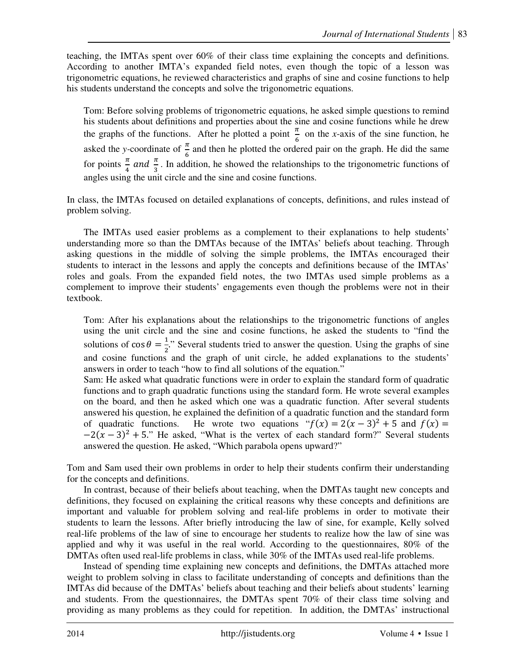teaching, the IMTAs spent over 60% of their class time explaining the concepts and definitions. According to another IMTA's expanded field notes, even though the topic of a lesson was trigonometric equations, he reviewed characteristics and graphs of sine and cosine functions to help his students understand the concepts and solve the trigonometric equations.

Tom: Before solving problems of trigonometric equations, he asked simple questions to remind his students about definitions and properties about the sine and cosine functions while he drew the graphs of the functions. After he plotted a point  $\frac{\pi}{6}$  on the *x*-axis of the sine function, he asked the *y*-coordinate of  $\frac{\pi}{6}$  and then he plotted the ordered pair on the graph. He did the same for points  $\frac{\pi}{4}$  and  $\frac{\pi}{3}$ . In addition, he showed the relationships to the trigonometric functions of angles using the unit circle and the sine and cosine functions.

In class, the IMTAs focused on detailed explanations of concepts, definitions, and rules instead of problem solving.

 The IMTAs used easier problems as a complement to their explanations to help students' understanding more so than the DMTAs because of the IMTAs' beliefs about teaching. Through asking questions in the middle of solving the simple problems, the IMTAs encouraged their students to interact in the lessons and apply the concepts and definitions because of the IMTAs' roles and goals. From the expanded field notes, the two IMTAs used simple problems as a complement to improve their students' engagements even though the problems were not in their textbook.

Tom: After his explanations about the relationships to the trigonometric functions of angles using the unit circle and the sine and cosine functions, he asked the students to "find the solutions of  $\cos \theta = \frac{1}{2}$ ." Several students tried to answer the question. Using the graphs of sine and cosine functions and the graph of unit circle, he added explanations to the students' answers in order to teach "how to find all solutions of the equation."

Sam: He asked what quadratic functions were in order to explain the standard form of quadratic functions and to graph quadratic functions using the standard form. He wrote several examples on the board, and then he asked which one was a quadratic function. After several students answered his question, he explained the definition of a quadratic function and the standard form of quadratic functions. He wrote two equations " $f(x) = 2(x-3)^2 + 5$  and  $f(x) =$  $-2(x-3)^2 + 5$ ." He asked, "What is the vertex of each standard form?" Several students answered the question. He asked, "Which parabola opens upward?"

Tom and Sam used their own problems in order to help their students confirm their understanding for the concepts and definitions.

 In contrast, because of their beliefs about teaching, when the DMTAs taught new concepts and definitions, they focused on explaining the critical reasons why these concepts and definitions are important and valuable for problem solving and real-life problems in order to motivate their students to learn the lessons. After briefly introducing the law of sine, for example, Kelly solved real-life problems of the law of sine to encourage her students to realize how the law of sine was applied and why it was useful in the real world. According to the questionnaires, 80% of the DMTAs often used real-life problems in class, while 30% of the IMTAs used real-life problems.

 Instead of spending time explaining new concepts and definitions, the DMTAs attached more weight to problem solving in class to facilitate understanding of concepts and definitions than the IMTAs did because of the DMTAs' beliefs about teaching and their beliefs about students' learning and students. From the questionnaires, the DMTAs spent 70% of their class time solving and providing as many problems as they could for repetition. In addition, the DMTAs' instructional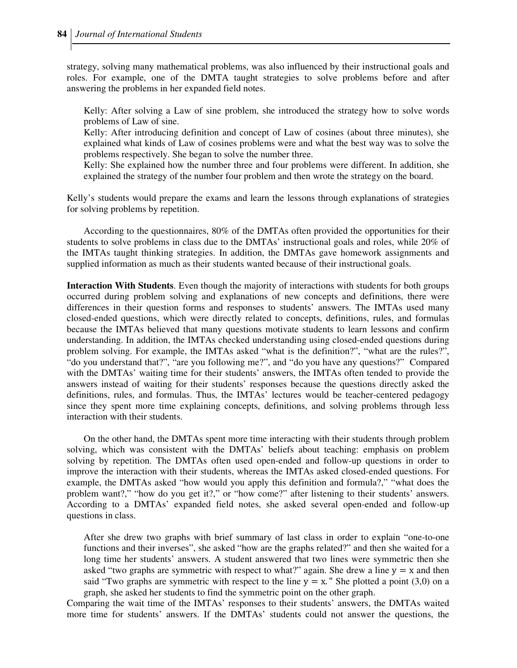strategy, solving many mathematical problems, was also influenced by their instructional goals and roles. For example, one of the DMTA taught strategies to solve problems before and after answering the problems in her expanded field notes.

Kelly: After solving a Law of sine problem, she introduced the strategy how to solve words problems of Law of sine.

Kelly: After introducing definition and concept of Law of cosines (about three minutes), she explained what kinds of Law of cosines problems were and what the best way was to solve the problems respectively. She began to solve the number three.

Kelly: She explained how the number three and four problems were different. In addition, she explained the strategy of the number four problem and then wrote the strategy on the board.

Kelly's students would prepare the exams and learn the lessons through explanations of strategies for solving problems by repetition.

 According to the questionnaires, 80% of the DMTAs often provided the opportunities for their students to solve problems in class due to the DMTAs' instructional goals and roles, while 20% of the IMTAs taught thinking strategies. In addition, the DMTAs gave homework assignments and supplied information as much as their students wanted because of their instructional goals.

**Interaction With Students**. Even though the majority of interactions with students for both groups occurred during problem solving and explanations of new concepts and definitions, there were differences in their question forms and responses to students' answers. The IMTAs used many closed-ended questions, which were directly related to concepts, definitions, rules, and formulas because the IMTAs believed that many questions motivate students to learn lessons and confirm understanding. In addition, the IMTAs checked understanding using closed-ended questions during problem solving. For example, the IMTAs asked "what is the definition?", "what are the rules?", "do you understand that?", "are you following me?", and "do you have any questions?" Compared with the DMTAs' waiting time for their students' answers, the IMTAs often tended to provide the answers instead of waiting for their students' responses because the questions directly asked the definitions, rules, and formulas. Thus, the IMTAs' lectures would be teacher-centered pedagogy since they spent more time explaining concepts, definitions, and solving problems through less interaction with their students.

 On the other hand, the DMTAs spent more time interacting with their students through problem solving, which was consistent with the DMTAs' beliefs about teaching: emphasis on problem solving by repetition. The DMTAs often used open-ended and follow-up questions in order to improve the interaction with their students, whereas the IMTAs asked closed-ended questions. For example, the DMTAs asked "how would you apply this definition and formula?," "what does the problem want?," "how do you get it?," or "how come?" after listening to their students' answers. According to a DMTAs' expanded field notes, she asked several open-ended and follow-up questions in class.

After she drew two graphs with brief summary of last class in order to explain "one-to-one functions and their inverses", she asked "how are the graphs related?" and then she waited for a long time her students' answers. A student answered that two lines were symmetric then she asked "two graphs are symmetric with respect to what?" again. She drew a line  $y = x$  and then said "Two graphs are symmetric with respect to the line  $y = x$ ." She plotted a point (3,0) on a graph, she asked her students to find the symmetric point on the other graph.

Comparing the wait time of the IMTAs' responses to their students' answers, the DMTAs waited more time for students' answers. If the DMTAs' students could not answer the questions, the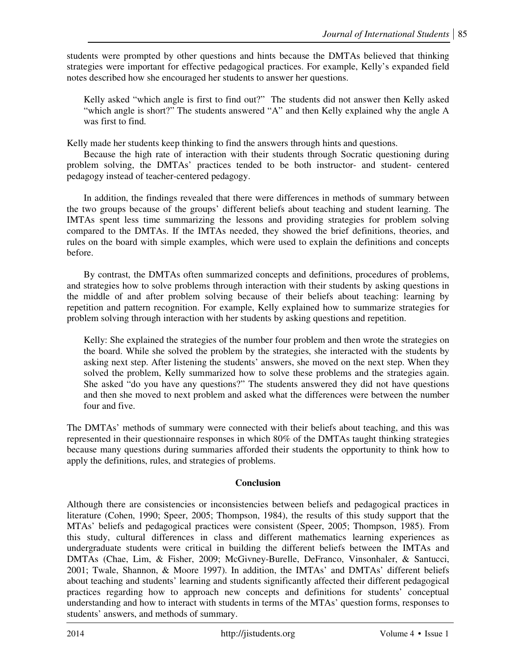students were prompted by other questions and hints because the DMTAs believed that thinking strategies were important for effective pedagogical practices. For example, Kelly's expanded field notes described how she encouraged her students to answer her questions.

Kelly asked "which angle is first to find out?" The students did not answer then Kelly asked "which angle is short?" The students answered "A" and then Kelly explained why the angle A was first to find.

Kelly made her students keep thinking to find the answers through hints and questions.

Because the high rate of interaction with their students through Socratic questioning during problem solving, the DMTAs' practices tended to be both instructor- and student- centered pedagogy instead of teacher-centered pedagogy.

In addition, the findings revealed that there were differences in methods of summary between the two groups because of the groups' different beliefs about teaching and student learning. The IMTAs spent less time summarizing the lessons and providing strategies for problem solving compared to the DMTAs. If the IMTAs needed, they showed the brief definitions, theories, and rules on the board with simple examples, which were used to explain the definitions and concepts before.

By contrast, the DMTAs often summarized concepts and definitions, procedures of problems, and strategies how to solve problems through interaction with their students by asking questions in the middle of and after problem solving because of their beliefs about teaching: learning by repetition and pattern recognition. For example, Kelly explained how to summarize strategies for problem solving through interaction with her students by asking questions and repetition.

Kelly: She explained the strategies of the number four problem and then wrote the strategies on the board. While she solved the problem by the strategies, she interacted with the students by asking next step. After listening the students' answers, she moved on the next step. When they solved the problem, Kelly summarized how to solve these problems and the strategies again. She asked "do you have any questions?" The students answered they did not have questions and then she moved to next problem and asked what the differences were between the number four and five.

The DMTAs' methods of summary were connected with their beliefs about teaching, and this was represented in their questionnaire responses in which 80% of the DMTAs taught thinking strategies because many questions during summaries afforded their students the opportunity to think how to apply the definitions, rules, and strategies of problems.

# **Conclusion**

Although there are consistencies or inconsistencies between beliefs and pedagogical practices in literature (Cohen, 1990; Speer, 2005; Thompson, 1984), the results of this study support that the MTAs' beliefs and pedagogical practices were consistent (Speer, 2005; Thompson, 1985). From this study, cultural differences in class and different mathematics learning experiences as undergraduate students were critical in building the different beliefs between the IMTAs and DMTAs (Chae, Lim, & Fisher, 2009; McGivney-Burelle, DeFranco, Vinsonhaler, & Santucci, 2001; Twale, Shannon, & Moore 1997). In addition, the IMTAs' and DMTAs' different beliefs about teaching and students' learning and students significantly affected their different pedagogical practices regarding how to approach new concepts and definitions for students' conceptual understanding and how to interact with students in terms of the MTAs' question forms, responses to students' answers, and methods of summary.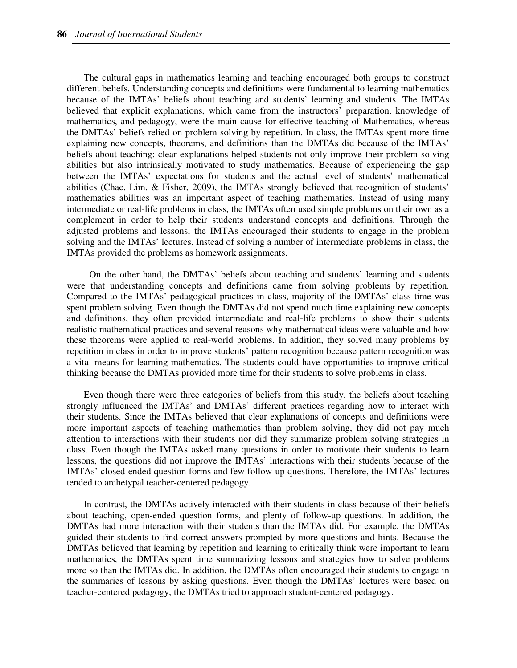The cultural gaps in mathematics learning and teaching encouraged both groups to construct different beliefs. Understanding concepts and definitions were fundamental to learning mathematics because of the IMTAs' beliefs about teaching and students' learning and students. The IMTAs believed that explicit explanations, which came from the instructors' preparation, knowledge of mathematics, and pedagogy, were the main cause for effective teaching of Mathematics, whereas the DMTAs' beliefs relied on problem solving by repetition. In class, the IMTAs spent more time explaining new concepts, theorems, and definitions than the DMTAs did because of the IMTAs' beliefs about teaching: clear explanations helped students not only improve their problem solving abilities but also intrinsically motivated to study mathematics. Because of experiencing the gap between the IMTAs' expectations for students and the actual level of students' mathematical abilities (Chae, Lim, & Fisher, 2009), the IMTAs strongly believed that recognition of students' mathematics abilities was an important aspect of teaching mathematics. Instead of using many intermediate or real-life problems in class, the IMTAs often used simple problems on their own as a complement in order to help their students understand concepts and definitions. Through the adjusted problems and lessons, the IMTAs encouraged their students to engage in the problem solving and the IMTAs' lectures. Instead of solving a number of intermediate problems in class, the IMTAs provided the problems as homework assignments.

On the other hand, the DMTAs' beliefs about teaching and students' learning and students were that understanding concepts and definitions came from solving problems by repetition. Compared to the IMTAs' pedagogical practices in class, majority of the DMTAs' class time was spent problem solving. Even though the DMTAs did not spend much time explaining new concepts and definitions, they often provided intermediate and real-life problems to show their students realistic mathematical practices and several reasons why mathematical ideas were valuable and how these theorems were applied to real-world problems. In addition, they solved many problems by repetition in class in order to improve students' pattern recognition because pattern recognition was a vital means for learning mathematics. The students could have opportunities to improve critical thinking because the DMTAs provided more time for their students to solve problems in class.

Even though there were three categories of beliefs from this study, the beliefs about teaching strongly influenced the IMTAs' and DMTAs' different practices regarding how to interact with their students. Since the IMTAs believed that clear explanations of concepts and definitions were more important aspects of teaching mathematics than problem solving, they did not pay much attention to interactions with their students nor did they summarize problem solving strategies in class. Even though the IMTAs asked many questions in order to motivate their students to learn lessons, the questions did not improve the IMTAs' interactions with their students because of the IMTAs' closed-ended question forms and few follow-up questions. Therefore, the IMTAs' lectures tended to archetypal teacher-centered pedagogy.

In contrast, the DMTAs actively interacted with their students in class because of their beliefs about teaching, open-ended question forms, and plenty of follow-up questions. In addition, the DMTAs had more interaction with their students than the IMTAs did. For example, the DMTAs guided their students to find correct answers prompted by more questions and hints. Because the DMTAs believed that learning by repetition and learning to critically think were important to learn mathematics, the DMTAs spent time summarizing lessons and strategies how to solve problems more so than the IMTAs did. In addition, the DMTAs often encouraged their students to engage in the summaries of lessons by asking questions. Even though the DMTAs' lectures were based on teacher-centered pedagogy, the DMTAs tried to approach student-centered pedagogy.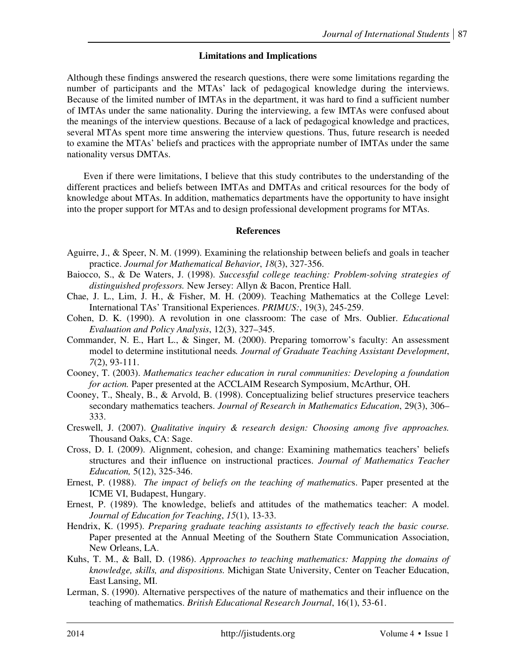# **Limitations and Implications**

Although these findings answered the research questions, there were some limitations regarding the number of participants and the MTAs' lack of pedagogical knowledge during the interviews. Because of the limited number of IMTAs in the department, it was hard to find a sufficient number of IMTAs under the same nationality. During the interviewing, a few IMTAs were confused about the meanings of the interview questions. Because of a lack of pedagogical knowledge and practices, several MTAs spent more time answering the interview questions. Thus, future research is needed to examine the MTAs' beliefs and practices with the appropriate number of IMTAs under the same nationality versus DMTAs.

Even if there were limitations, I believe that this study contributes to the understanding of the different practices and beliefs between IMTAs and DMTAs and critical resources for the body of knowledge about MTAs. In addition, mathematics departments have the opportunity to have insight into the proper support for MTAs and to design professional development programs for MTAs.

### **References**

- Aguirre, J., & Speer, N. M. (1999). Examining the relationship between beliefs and goals in teacher practice. *Journal for Mathematical Behavior*, *18*(3), 327-356.
- Baiocco, S., & De Waters, J. (1998). *Successful college teaching: Problem-solving strategies of distinguished professors.* New Jersey: Allyn & Bacon, Prentice Hall.
- Chae, J. L., Lim, J. H., & Fisher, M. H. (2009). Teaching Mathematics at the College Level: International TAs' Transitional Experiences. *PRIMUS:*, 19(3), 245-259.
- Cohen, D. K. (1990). A revolution in one classroom: The case of Mrs. Oublier. *Educational Evaluation and Policy Analysis*, 12(3), 327–345.
- Commander, N. E., Hart L., & Singer, M. (2000). Preparing tomorrow's faculty: An assessment model to determine institutional needs*. Journal of Graduate Teaching Assistant Development*, *7*(2), 93-111.
- Cooney, T. (2003). *Mathematics teacher education in rural communities: Developing a foundation for action.* Paper presented at the ACCLAIM Research Symposium, McArthur, OH.
- Cooney, T., Shealy, B., & Arvold, B. (1998). Conceptualizing belief structures preservice teachers secondary mathematics teachers. *Journal of Research in Mathematics Education*, 29(3), 306– 333.
- Creswell, J. (2007). *Qualitative inquiry & research design: Choosing among five approaches.* Thousand Oaks, CA: Sage.
- Cross, D. I. (2009). Alignment, cohesion, and change: Examining mathematics teachers' beliefs structures and their influence on instructional practices. *Journal of Mathematics Teacher Education,* 5(12), 325-346.
- Ernest, P. (1988). *The impact of beliefs on the teaching of mathematic*s. Paper presented at the ICME VI, Budapest, Hungary.
- Ernest, P. (1989). The knowledge, beliefs and attitudes of the mathematics teacher: A model. *Journal of Education for Teaching*, *15*(1), 13-33.
- Hendrix, K. (1995). *Preparing graduate teaching assistants to effectively teach the basic course.* Paper presented at the Annual Meeting of the Southern State Communication Association, New Orleans, LA.
- Kuhs, T. M., & Ball, D. (1986). *Approaches to teaching mathematics: Mapping the domains of knowledge, skills, and dispositions.* Michigan State University, Center on Teacher Education, East Lansing, MI.
- Lerman, S. (1990). Alternative perspectives of the nature of mathematics and their influence on the teaching of mathematics. *British Educational Research Journal*, 16(1), 53-61.